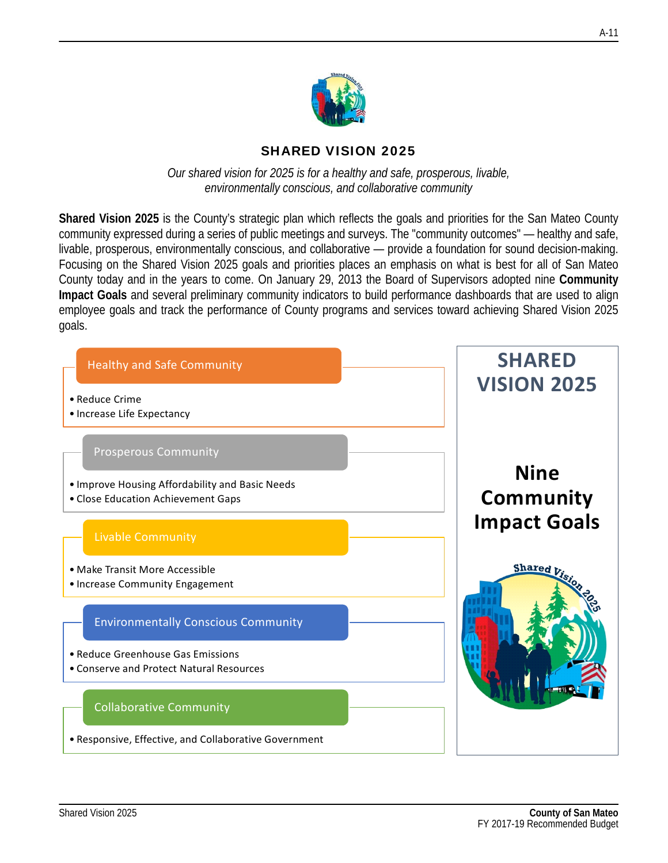

### SHARED VISION 2025

*Our shared vision for 2025 is for a healthy and safe, prosperous, livable, environmentally conscious, and collaborative community*

**Shared Vision 2025** is the County's strategic plan which reflects the goals and priorities for the San Mateo County community expressed during a series of public meetings and surveys. The "community outcomes" — healthy and safe, livable, prosperous, environmentally conscious, and collaborative — provide a foundation for sound decision-making. Focusing on the Shared Vision 2025 goals and priorities places an emphasis on what is best for all of San Mateo County today and in the years to come. On January 29, 2013 the Board of Supervisors adopted nine **Community Impact Goals** and several preliminary community indicators to build performance dashboards that are used to align employee goals and track the performance of County programs and services toward achieving Shared Vision 2025 goals.

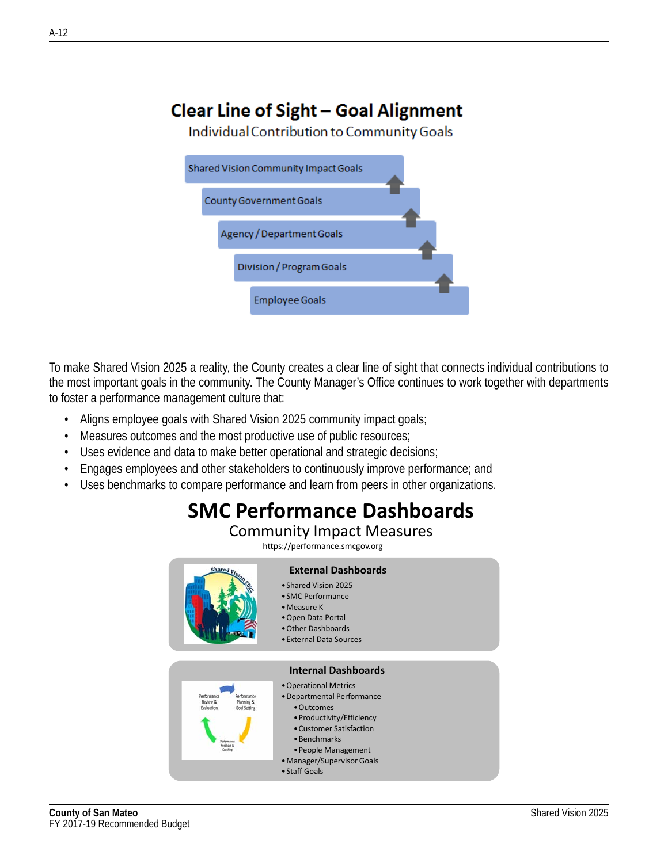# **Clear Line of Sight - Goal Alignment**

Individual Contribution to Community Goals

| Shared Vision Community Impact Goals |  |
|--------------------------------------|--|
| County Government Goals              |  |
| Agency / Department Goals            |  |
| Division / Program Goals             |  |
| <b>Employee Goals</b>                |  |

To make Shared Vision 2025 a reality, the County creates a clear line of sight that connects individual contributions to the most important goals in the community. The County Manager's Office continues to work together with departments to foster a performance management culture that:

- Aligns employee goals with Shared Vision 2025 community impact goals;
- Measures outcomes and the most productive use of public resources;
- Uses evidence and data to make better operational and strategic decisions;
- Engages employees and other stakeholders to continuously improve performance; and
- Uses benchmarks to compare performance and learn from peers in other organizations.

# **SMC Performance Dashboards**

#### Community Impact Measures

https://performance.smcgov.org

| <b>Shared</b>                                                                                                            | <b>External Dashboards</b><br>• Shared Vision 2025<br>• SMC Performance<br>$\bullet$ Measure K<br>• Open Data Portal<br>• Other Dashboards<br>• External Data Sources                                                                         |
|--------------------------------------------------------------------------------------------------------------------------|-----------------------------------------------------------------------------------------------------------------------------------------------------------------------------------------------------------------------------------------------|
| Performance<br>Performance<br>Review &<br>Planning &<br>Evaluation<br><b>Goal Setting</b><br><b>Faschark</b><br>Coaching | <b>Internal Dashboards</b><br>• Operational Metrics<br>• Departmental Performance<br>• Outcomes<br>• Productivity/Efficiency<br>• Customer Satisfaction<br>• Benchmarks<br>• People Management<br>• Manager/Supervisor Goals<br>• Staff Goals |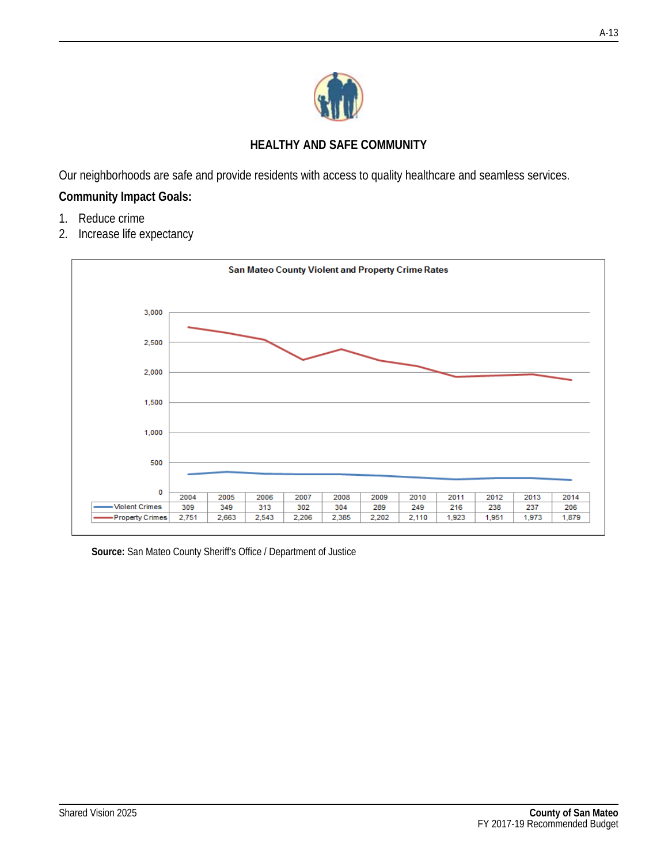

### **HEALTHY AND SAFE COMMUNITY**

Our neighborhoods are safe and provide residents with access to quality healthcare and seamless services.

# **Community Impact Goals:**

- 1. Reduce crime
- 2. Increase life expectancy



**Source:** San Mateo County Sheriff's Office / Department of Justice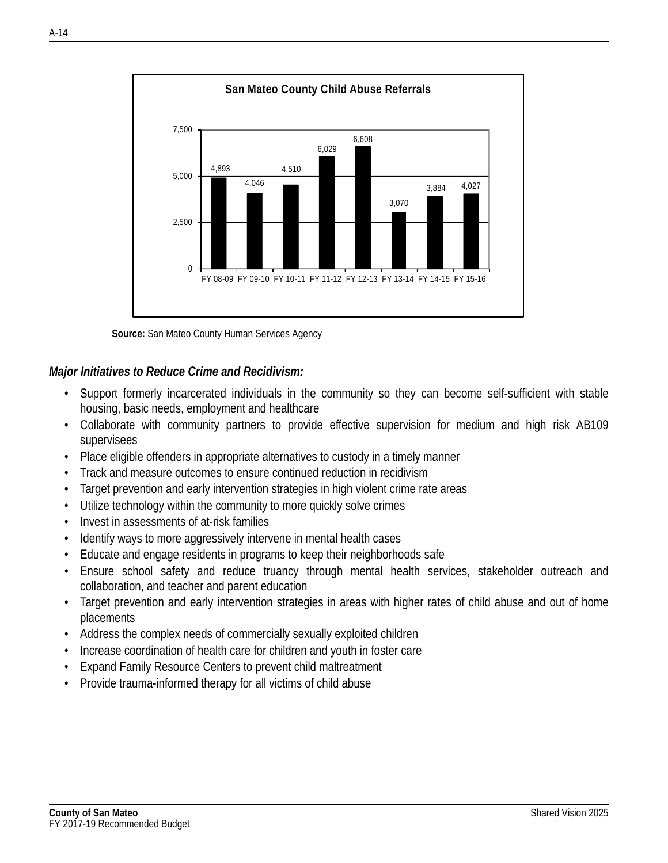

**Source:** San Mateo County Human Services Agency

#### *Major Initiatives to Reduce Crime and Recidivism:*

- Support formerly incarcerated individuals in the community so they can become self-sufficient with stable housing, basic needs, employment and healthcare
- Collaborate with community partners to provide effective supervision for medium and high risk AB109 supervisees
- Place eligible offenders in appropriate alternatives to custody in a timely manner
- Track and measure outcomes to ensure continued reduction in recidivism
- Target prevention and early intervention strategies in high violent crime rate areas
- Utilize technology within the community to more quickly solve crimes
- Invest in assessments of at-risk families
- Identify ways to more aggressively intervene in mental health cases
- Educate and engage residents in programs to keep their neighborhoods safe
- Ensure school safety and reduce truancy through mental health services, stakeholder outreach and collaboration, and teacher and parent education
- Target prevention and early intervention strategies in areas with higher rates of child abuse and out of home placements
- Address the complex needs of commercially sexually exploited children
- Increase coordination of health care for children and youth in foster care
- Expand Family Resource Centers to prevent child maltreatment
- Provide trauma-informed therapy for all victims of child abuse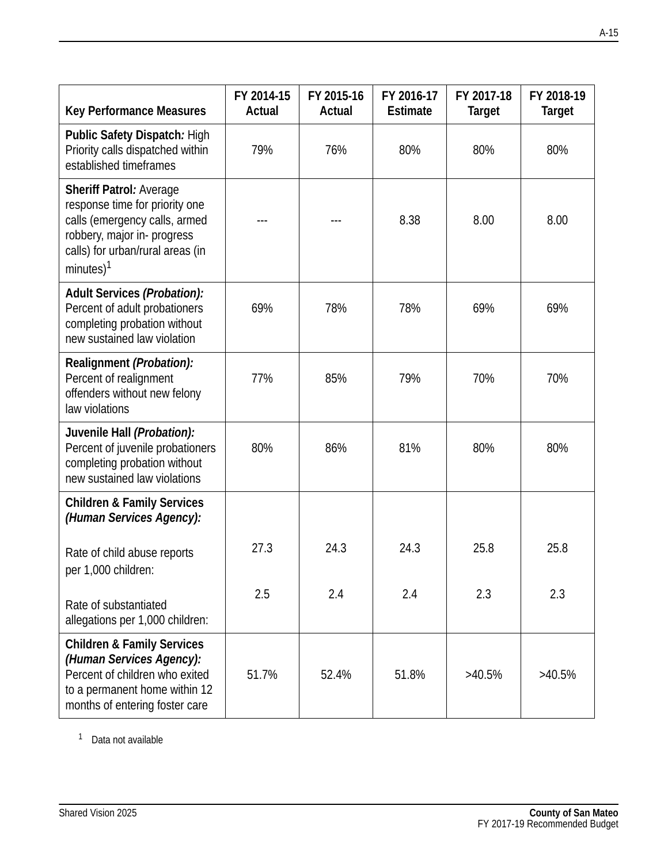| <b>Key Performance Measures</b>                                                                                                                                                       | FY 2014-15<br>Actual | FY 2015-16<br>Actual | FY 2016-17<br>Estimate | FY 2017-18<br><b>Target</b> | FY 2018-19<br><b>Target</b> |
|---------------------------------------------------------------------------------------------------------------------------------------------------------------------------------------|----------------------|----------------------|------------------------|-----------------------------|-----------------------------|
| Public Safety Dispatch: High<br>Priority calls dispatched within<br>established timeframes                                                                                            | 79%                  | 76%                  | 80%                    | 80%                         | 80%                         |
| Sheriff Patrol: Average<br>response time for priority one<br>calls (emergency calls, armed<br>robbery, major in-progress<br>calls) for urban/rural areas (in<br>minutes) <sup>1</sup> |                      |                      | 8.38                   | 8.00                        | 8.00                        |
| Adult Services (Probation):<br>Percent of adult probationers<br>completing probation without<br>new sustained law violation                                                           | 69%                  | 78%                  | 78%                    | 69%                         | 69%                         |
| Realignment (Probation):<br>Percent of realignment<br>offenders without new felony<br>law violations                                                                                  | 77%                  | 85%                  | 79%                    | 70%                         | 70%                         |
| Juvenile Hall (Probation):<br>Percent of juvenile probationers<br>completing probation without<br>new sustained law violations                                                        | 80%                  | 86%                  | 81%                    | 80%                         | 80%                         |
| <b>Children &amp; Family Services</b><br>(Human Services Agency):                                                                                                                     |                      |                      |                        |                             |                             |
| Rate of child abuse reports<br>per 1,000 children:                                                                                                                                    | 27.3                 | 24.3                 | 24.3                   | 25.8                        | 25.8                        |
| Rate of substantiated<br>allegations per 1,000 children:                                                                                                                              | 2.5                  | 2.4                  | 2.4                    | 2.3                         | 2.3                         |
| <b>Children &amp; Family Services</b><br>(Human Services Agency):<br>Percent of children who exited<br>to a permanent home within 12<br>months of entering foster care                | 51.7%                | 52.4%                | 51.8%                  | >40.5%                      | $>40.5\%$                   |

<sup>1</sup> Data not available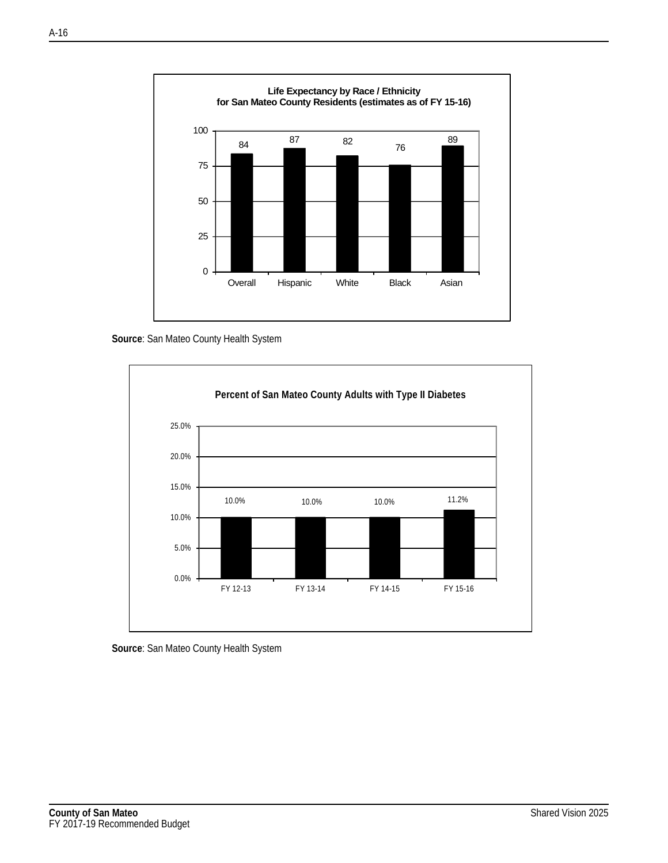

**Source**: San Mateo County Health System



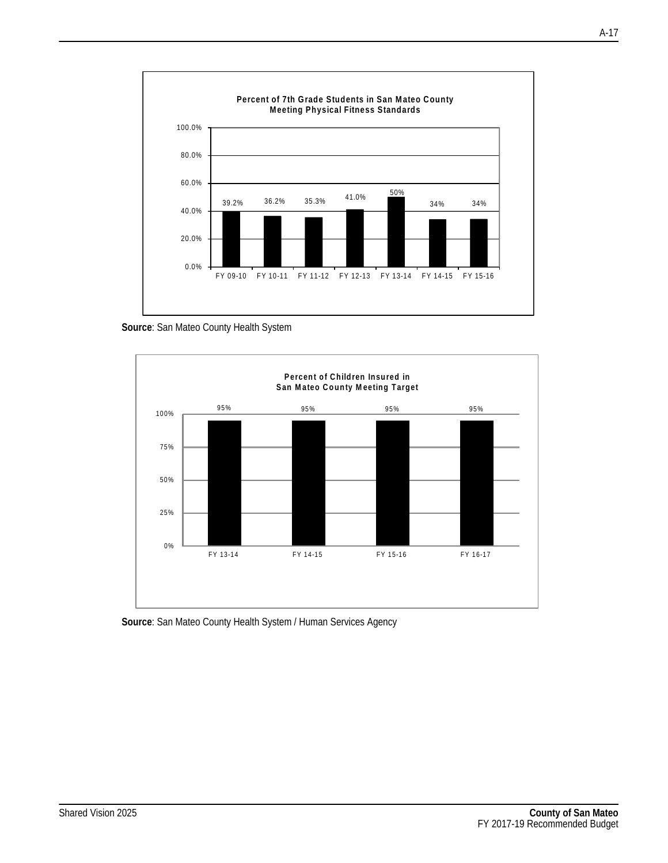

**Source**: San Mateo County Health System



**Source**: San Mateo County Health System / Human Services Agency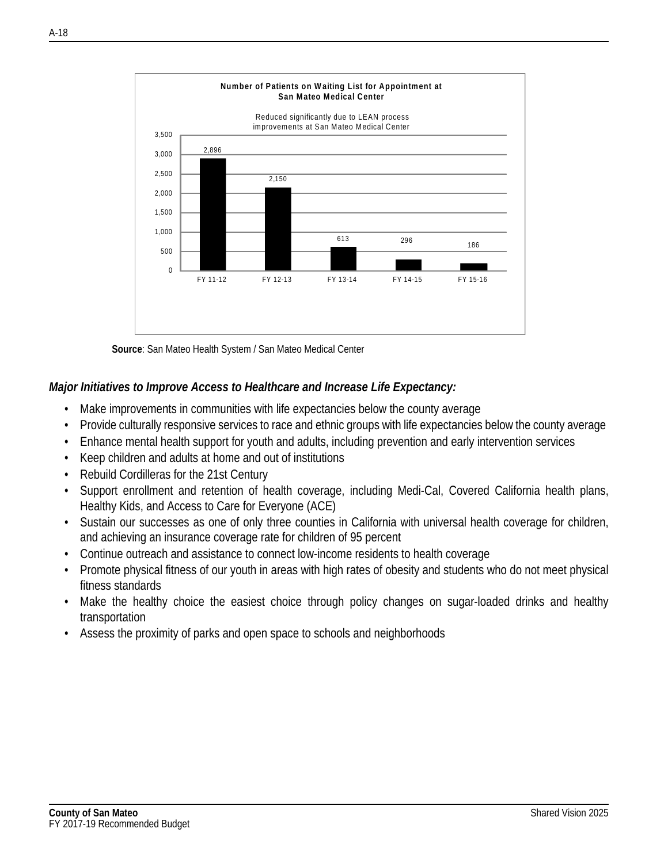

**Source**: San Mateo Health System / San Mateo Medical Center

#### *Major Initiatives to Improve Access to Healthcare and Increase Life Expectancy:*

- Make improvements in communities with life expectancies below the county average
- Provide culturally responsive services to race and ethnic groups with life expectancies below the county average
- Enhance mental health support for youth and adults, including prevention and early intervention services
- Keep children and adults at home and out of institutions
- Rebuild Cordilleras for the 21st Century
- Support enrollment and retention of health coverage, including Medi-Cal, Covered California health plans, Healthy Kids, and Access to Care for Everyone (ACE)
- Sustain our successes as one of only three counties in California with universal health coverage for children, and achieving an insurance coverage rate for children of 95 percent
- Continue outreach and assistance to connect low-income residents to health coverage
- Promote physical fitness of our youth in areas with high rates of obesity and students who do not meet physical fitness standards
- Make the healthy choice the easiest choice through policy changes on sugar-loaded drinks and healthy transportation
- Assess the proximity of parks and open space to schools and neighborhoods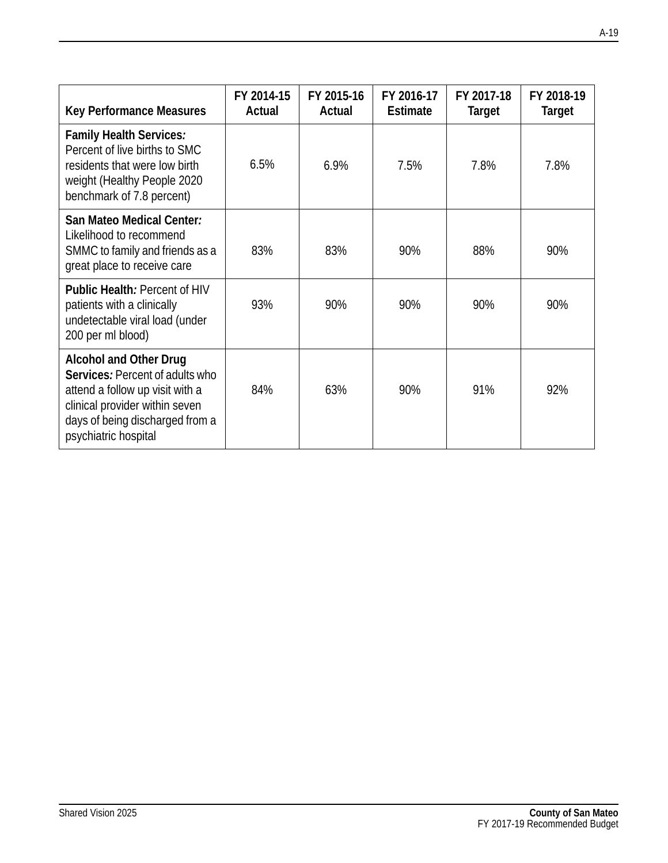| <b>Key Performance Measures</b>                                                                                                                                                                  | FY 2014-15<br>Actual | FY 2015-16<br>Actual | FY 2016-17<br><b>Estimate</b> | FY 2017-18<br><b>Target</b> | FY 2018-19<br>Target |
|--------------------------------------------------------------------------------------------------------------------------------------------------------------------------------------------------|----------------------|----------------------|-------------------------------|-----------------------------|----------------------|
| Family Health Services:<br>Percent of live births to SMC<br>residents that were low birth<br>weight (Healthy People 2020<br>benchmark of 7.8 percent)                                            | 6.5%                 | 6.9%                 | 7.5%                          | 7.8%                        | 7.8%                 |
| San Mateo Medical Center:<br>Likelihood to recommend<br>SMMC to family and friends as a<br>great place to receive care                                                                           | 83%                  | 83%                  | 90%                           | 88%                         | 90%                  |
| Public Health: Percent of HIV<br>patients with a clinically<br>undetectable viral load (under<br>200 per ml blood)                                                                               | 93%                  | 90%                  | 90%                           | 90%                         | 90%                  |
| <b>Alcohol and Other Drug</b><br>Services: Percent of adults who<br>attend a follow up visit with a<br>clinical provider within seven<br>days of being discharged from a<br>psychiatric hospital | 84%                  | 63%                  | 90%                           | 91%                         | 92%                  |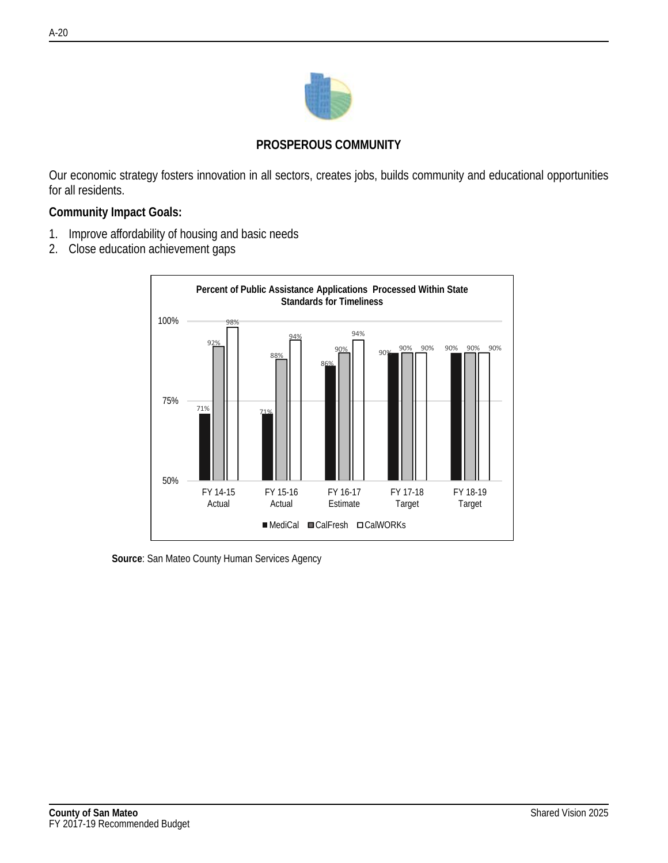

#### **PROSPEROUS COMMUNITY**

Our economic strategy fosters innovation in all sectors, creates jobs, builds community and educational opportunities for all residents.

#### **Community Impact Goals:**

- 1. Improve affordability of housing and basic needs
- 2. Close education achievement gaps



**Source**: San Mateo County Human Services Agency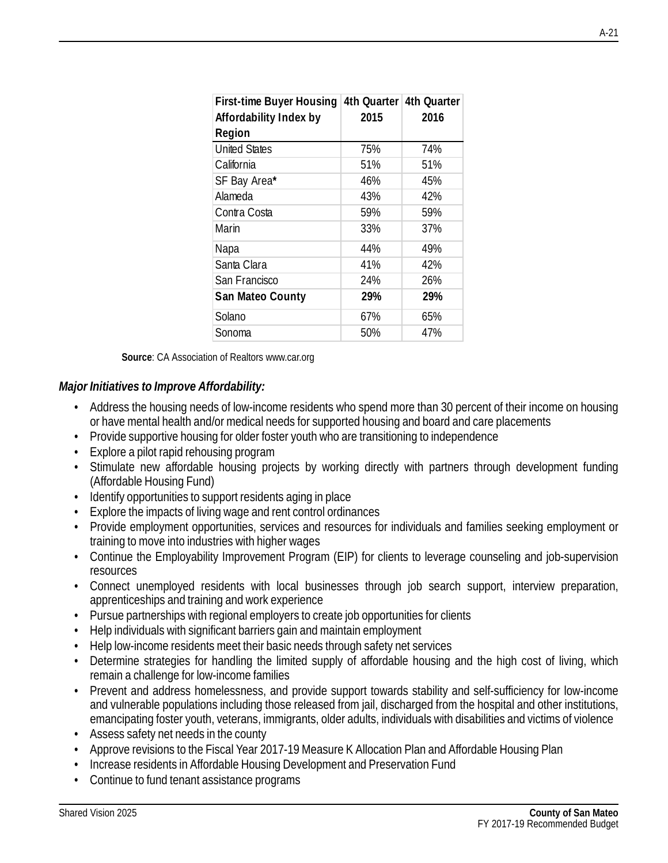| <b>First-time Buyer Housing</b> |      | 4th Quarter 4th Quarter |
|---------------------------------|------|-------------------------|
| Affordability Index by          | 2015 | 2016                    |
| Region                          |      |                         |
| <b>United States</b>            | 75%  | 74%                     |
| California                      | 51%  | 51%                     |
| SF Bay Area*                    | 46%  | 45%                     |
| Alameda                         | 43%  | 42%                     |
| Contra Costa                    | 59%  | 59%                     |
| Marin                           | 33%  | 37%                     |
| Napa                            | 44%  | 49%                     |
| Santa Clara                     | 41%  | 42%                     |
| San Francisco                   | 24%  | 26%                     |
| San Mateo County                | 29%  | 29%                     |
| Solano                          | 67%  | 65%                     |
| Sonoma                          | 50%  | 47%                     |

**Source**: CA Association of Realtors www.car.org

#### *Major Initiatives to Improve Affordability:*

- Address the housing needs of low-income residents who spend more than 30 percent of their income on housing or have mental health and/or medical needs for supported housing and board and care placements
- Provide supportive housing for older foster youth who are transitioning to independence
- Explore a pilot rapid rehousing program
- Stimulate new affordable housing projects by working directly with partners through development funding (Affordable Housing Fund)
- Identify opportunities to support residents aging in place
- Explore the impacts of living wage and rent control ordinances
- Provide employment opportunities, services and resources for individuals and families seeking employment or training to move into industries with higher wages
- Continue the Employability Improvement Program (EIP) for clients to leverage counseling and job-supervision resources
- Connect unemployed residents with local businesses through job search support, interview preparation, apprenticeships and training and work experience
- Pursue partnerships with regional employers to create job opportunities for clients
- Help individuals with significant barriers gain and maintain employment
- Help low-income residents meet their basic needs through safety net services
- Determine strategies for handling the limited supply of affordable housing and the high cost of living, which remain a challenge for low-income families
- Prevent and address homelessness, and provide support towards stability and self-sufficiency for low-income and vulnerable populations including those released from jail, discharged from the hospital and other institutions, emancipating foster youth, veterans, immigrants, older adults, individuals with disabilities and victims of violence
- Assess safety net needs in the county
- Approve revisions to the Fiscal Year 2017-19 Measure K Allocation Plan and Affordable Housing Plan
- Increase residents in Affordable Housing Development and Preservation Fund
- Continue to fund tenant assistance programs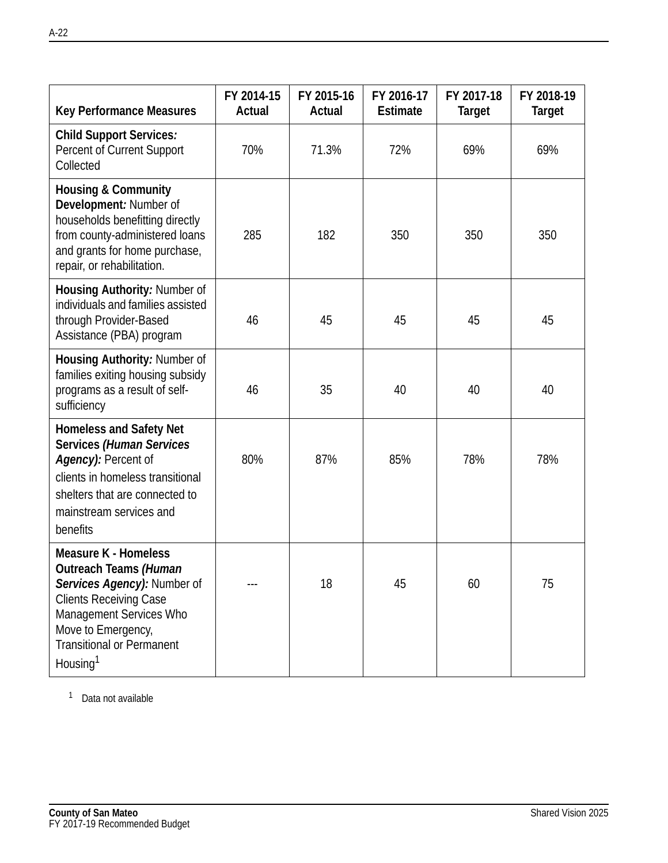| <b>Key Performance Measures</b>                                                                                                                                                                                                   | FY 2014-15<br>Actual | FY 2015-16<br>Actual | FY 2016-17<br><b>Estimate</b> | FY 2017-18<br><b>Target</b> | FY 2018-19<br><b>Target</b> |
|-----------------------------------------------------------------------------------------------------------------------------------------------------------------------------------------------------------------------------------|----------------------|----------------------|-------------------------------|-----------------------------|-----------------------------|
| <b>Child Support Services:</b><br>Percent of Current Support<br>Collected                                                                                                                                                         | 70%                  | 71.3%                | 72%                           | 69%                         | 69%                         |
| <b>Housing &amp; Community</b><br>Development: Number of<br>households benefitting directly<br>from county-administered loans<br>and grants for home purchase,<br>repair, or rehabilitation.                                      | 285                  | 182                  | 350                           | 350                         | 350                         |
| Housing Authority: Number of<br>individuals and families assisted<br>through Provider-Based<br>Assistance (PBA) program                                                                                                           | 46                   | 45                   | 45                            | 45                          | 45                          |
| Housing Authority: Number of<br>families exiting housing subsidy<br>programs as a result of self-<br>sufficiency                                                                                                                  | 46                   | 35                   | 40                            | 40                          | 40                          |
| <b>Homeless and Safety Net</b><br>Services (Human Services<br>Agency): Percent of<br>clients in homeless transitional<br>shelters that are connected to<br>mainstream services and<br>benefits                                    | 80%                  | 87%                  | 85%                           | 78%                         | 78%                         |
| <b>Measure K - Homeless</b><br>Outreach Teams (Human<br>Services Agency): Number of<br><b>Clients Receiving Case</b><br>Management Services Who<br>Move to Emergency,<br><b>Transitional or Permanent</b><br>Housing <sup>1</sup> |                      | 18                   | 45                            | 60                          | 75                          |

<sup>1</sup> Data not available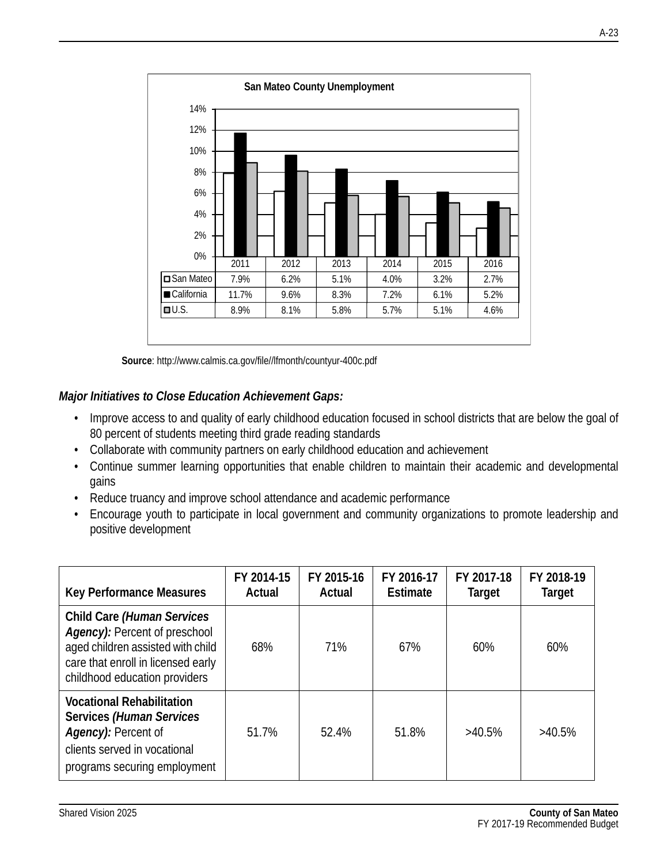

**Source**: http://www.calmis.ca.gov/file//lfmonth/countyur-400c.pdf

# *Major Initiatives to Close Education Achievement Gaps:*

- Improve access to and quality of early childhood education focused in school districts that are below the goal of 80 percent of students meeting third grade reading standards
- Collaborate with community partners on early childhood education and achievement
- Continue summer learning opportunities that enable children to maintain their academic and developmental gains
- Reduce truancy and improve school attendance and academic performance
- Encourage youth to participate in local government and community organizations to promote leadership and positive development

| <b>Key Performance Measures</b>                                                                                                                                         | FY 2014-15<br>Actual | FY 2015-16<br>Actual | FY 2016-17<br>Estimate | FY 2017-18<br>Target | FY 2018-19<br><b>Target</b> |
|-------------------------------------------------------------------------------------------------------------------------------------------------------------------------|----------------------|----------------------|------------------------|----------------------|-----------------------------|
| Child Care (Human Services<br>Agency): Percent of preschool<br>aged children assisted with child<br>care that enroll in licensed early<br>childhood education providers | 68%                  | 71%                  | 67%                    | 60%                  | 60%                         |
| <b>Vocational Rehabilitation</b><br>Services (Human Services<br>Agency): Percent of<br>clients served in vocational<br>programs securing employment                     | 51.7%                | 52.4%                | 51.8%                  | $>40.5\%$            | $>40.5\%$                   |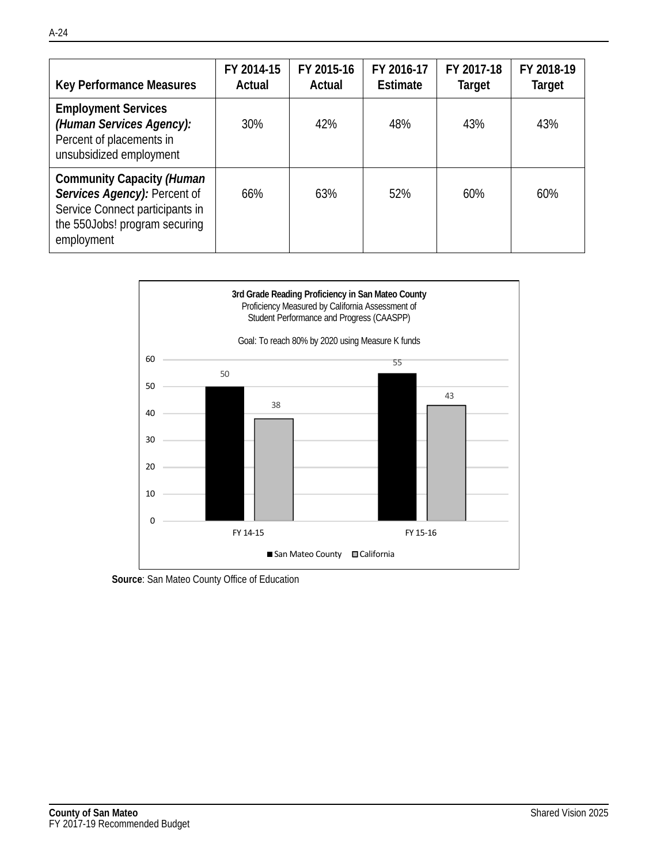| Key Performance Measures                                                                                                                    | FY 2014-15<br>Actual | FY 2015-16<br>Actual | FY 2016-17<br>Estimate | FY 2017-18<br>Target | FY 2018-19<br><b>Target</b> |
|---------------------------------------------------------------------------------------------------------------------------------------------|----------------------|----------------------|------------------------|----------------------|-----------------------------|
| <b>Employment Services</b><br>(Human Services Agency):<br>Percent of placements in<br>unsubsidized employment                               | 30%                  | 42%                  | 48%                    | 43%                  | 43%                         |
| Community Capacity (Human<br>Services Agency): Percent of<br>Service Connect participants in<br>the 550Jobs! program securing<br>employment | 66%                  | 63%                  | 52%                    | 60%                  | 60%                         |



**Source**: San Mateo County Office of Education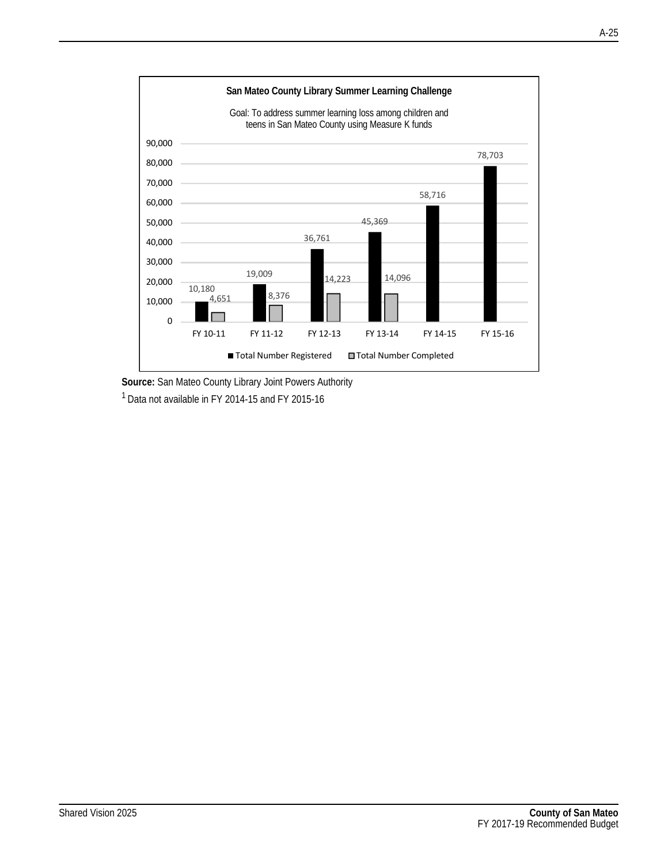

**Source:** San Mateo County Library Joint Powers Authority  $1$  Data not available in FY 2014-15 and FY 2015-16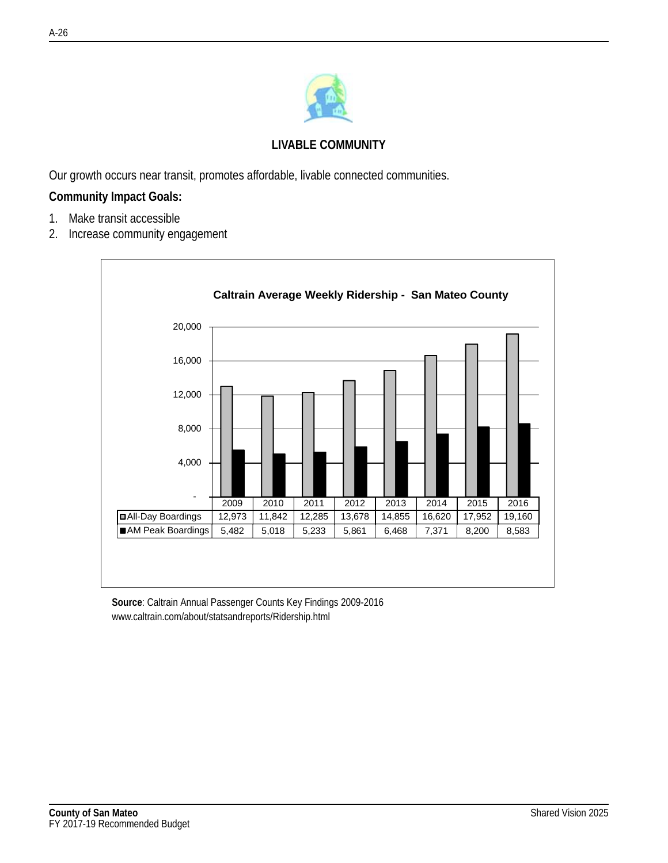

# **LIVABLE COMMUNITY**

Our growth occurs near transit, promotes affordable, livable connected communities.

#### **Community Impact Goals:**

- 1. Make transit accessible
- 2. Increase community engagement



**Source**: Caltrain Annual Passenger Counts Key Findings 2009-2016 www.caltrain.com/about/statsandreports/Ridership.html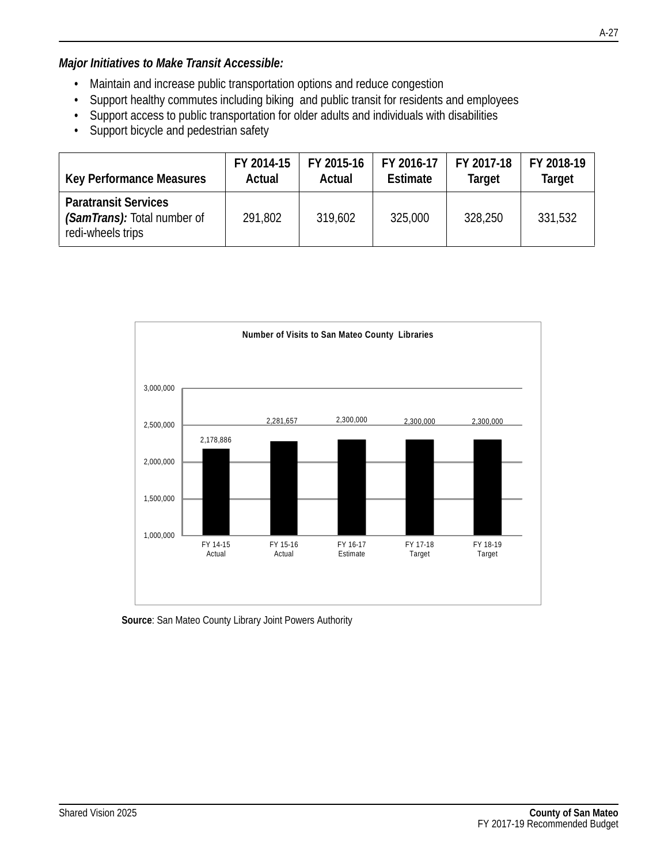- Maintain and increase public transportation options and reduce congestion
- Support healthy commutes including biking and public transit for residents and employees
- Support access to public transportation for older adults and individuals with disabilities
- Support bicycle and pedestrian safety

| <b>Key Performance Measures</b>                                                 | FY 2014-15 | FY 2015-16 | FY 2016-17 | FY 2017-18 | FY 2018-19    |
|---------------------------------------------------------------------------------|------------|------------|------------|------------|---------------|
|                                                                                 | Actual     | Actual     | Estimate   | Target     | <b>Target</b> |
| <b>Paratransit Services</b><br>(SamTrans): Total number of<br>redi-wheels trips | 291,802    | 319,602    | 325,000    | 328,250    | 331,532       |



**Source**: San Mateo County Library Joint Powers Authority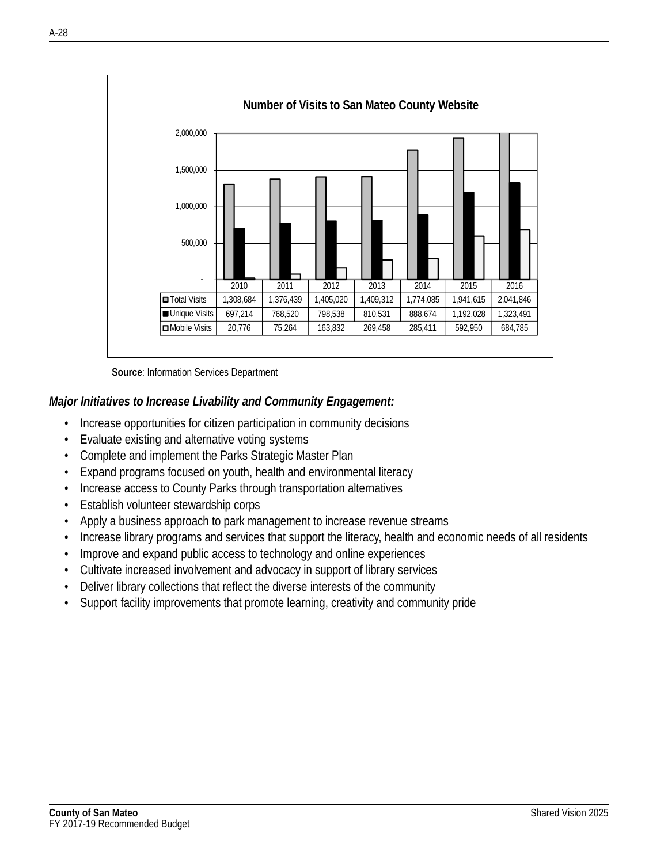

**Source**: Information Services Department

#### *Major Initiatives to Increase Livability and Community Engagement:*

- Increase opportunities for citizen participation in community decisions
- Evaluate existing and alternative voting systems
- Complete and implement the Parks Strategic Master Plan
- Expand programs focused on youth, health and environmental literacy
- Increase access to County Parks through transportation alternatives
- Establish volunteer stewardship corps
- Apply a business approach to park management to increase revenue streams
- Increase library programs and services that support the literacy, health and economic needs of all residents
- Improve and expand public access to technology and online experiences
- Cultivate increased involvement and advocacy in support of library services
- Deliver library collections that reflect the diverse interests of the community
- Support facility improvements that promote learning, creativity and community pride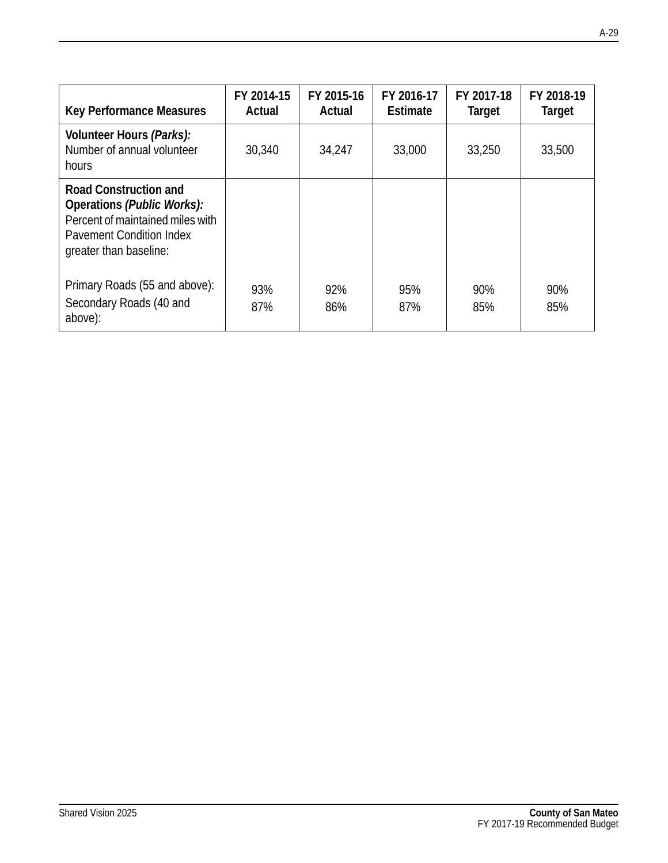| Key Performance Measures                                                                                                                                    | FY 2014-15<br>Actual | FY 2015-16<br>Actual | FY 2016-17<br>Estimate | FY 2017-18<br>Target | FY 2018-19<br>Target |
|-------------------------------------------------------------------------------------------------------------------------------------------------------------|----------------------|----------------------|------------------------|----------------------|----------------------|
| Volunteer Hours (Parks):<br>Number of annual volunteer<br>hours                                                                                             | 30,340               | 34,247               | 33,000                 | 33,250               | 33,500               |
| <b>Road Construction and</b><br>Operations (Public Works):<br>Percent of maintained miles with<br><b>Pavement Condition Index</b><br>greater than baseline: |                      |                      |                        |                      |                      |
| Primary Roads (55 and above):<br>Secondary Roads (40 and<br>above):                                                                                         | 93%<br>87%           | 92%<br>86%           | 95%<br>87%             | 90%<br>85%           | 90%<br>85%           |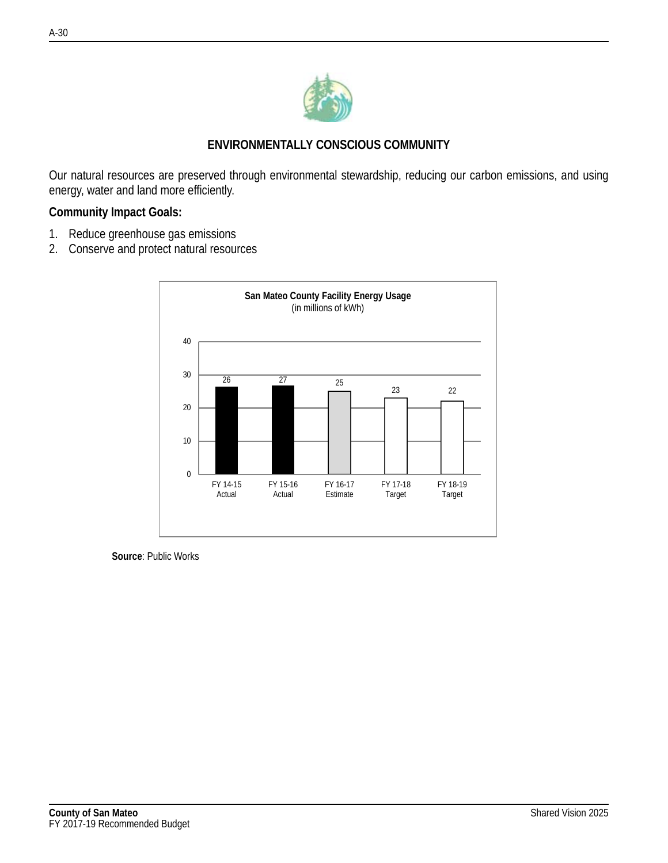

# **ENVIRONMENTALLY CONSCIOUS COMMUNITY**

Our natural resources are preserved through environmental stewardship, reducing our carbon emissions, and using energy, water and land more efficiently.

#### **Community Impact Goals:**

- 1. Reduce greenhouse gas emissions
- 2. Conserve and protect natural resources



**Source**: Public Works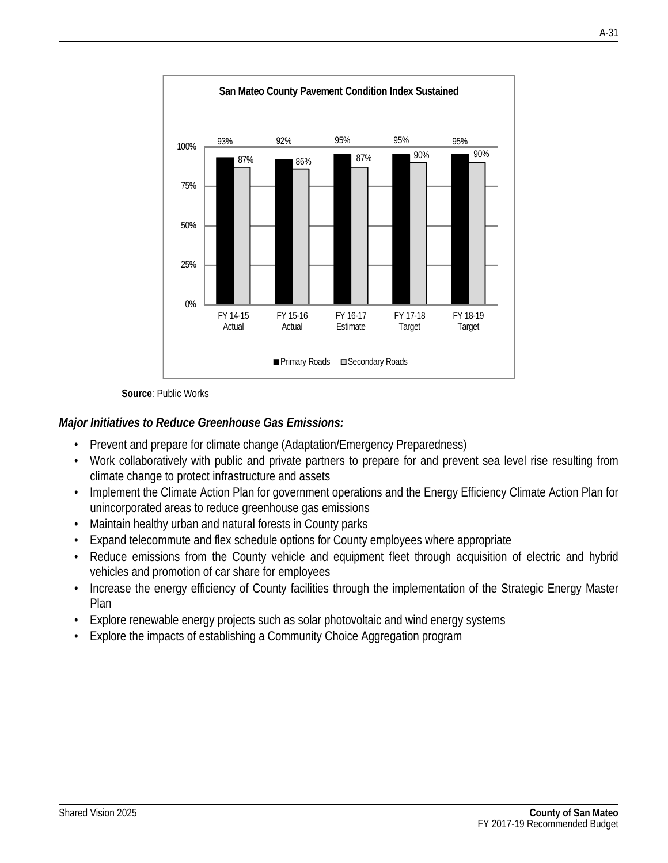

**Source**: Public Works

# *Major Initiatives to Reduce Greenhouse Gas Emissions:*

- Prevent and prepare for climate change (Adaptation/Emergency Preparedness)
- Work collaboratively with public and private partners to prepare for and prevent sea level rise resulting from climate change to protect infrastructure and assets
- Implement the Climate Action Plan for government operations and the Energy Efficiency Climate Action Plan for unincorporated areas to reduce greenhouse gas emissions
- Maintain healthy urban and natural forests in County parks
- Expand telecommute and flex schedule options for County employees where appropriate
- Reduce emissions from the County vehicle and equipment fleet through acquisition of electric and hybrid vehicles and promotion of car share for employees
- Increase the energy efficiency of County facilities through the implementation of the Strategic Energy Master Plan
- Explore renewable energy projects such as solar photovoltaic and wind energy systems
- Explore the impacts of establishing a Community Choice Aggregation program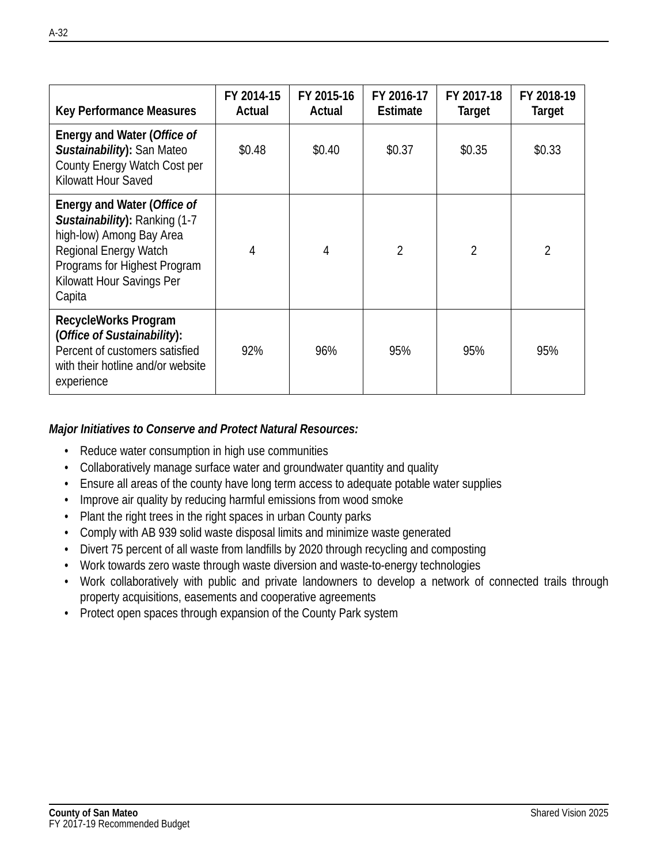| Key Performance Measures                                                                                                                                                                 | FY 2014-15<br>Actual | FY 2015-16<br>Actual | FY 2016-17<br><b>Estimate</b> | FY 2017-18<br>Target | FY 2018-19<br>Target |
|------------------------------------------------------------------------------------------------------------------------------------------------------------------------------------------|----------------------|----------------------|-------------------------------|----------------------|----------------------|
| Energy and Water (Office of<br>Sustainability): San Mateo<br>County Energy Watch Cost per<br>Kilowatt Hour Saved                                                                         | \$0.48               | \$0.40               | \$0.37                        | \$0.35               | \$0.33               |
| Energy and Water (Office of<br>Sustainability): Ranking (1-7<br>high-low) Among Bay Area<br>Regional Energy Watch<br>Programs for Highest Program<br>Kilowatt Hour Savings Per<br>Capita | 4                    | 4                    | $\mathfrak{D}$                | $\mathfrak{D}$       | $\mathfrak{D}$       |
| RecycleWorks Program<br>(Office of Sustainability):<br>Percent of customers satisfied<br>with their hotline and/or website<br>experience                                                 | 92%                  | 96%                  | 95%                           | 95%                  | 95%                  |

#### *Major Initiatives to Conserve and Protect Natural Resources:*

- Reduce water consumption in high use communities
- Collaboratively manage surface water and groundwater quantity and quality
- Ensure all areas of the county have long term access to adequate potable water supplies
- Improve air quality by reducing harmful emissions from wood smoke
- Plant the right trees in the right spaces in urban County parks
- Comply with AB 939 solid waste disposal limits and minimize waste generated
- Divert 75 percent of all waste from landfills by 2020 through recycling and composting
- Work towards zero waste through waste diversion and waste-to-energy technologies
- Work collaboratively with public and private landowners to develop a network of connected trails through property acquisitions, easements and cooperative agreements
- Protect open spaces through expansion of the County Park system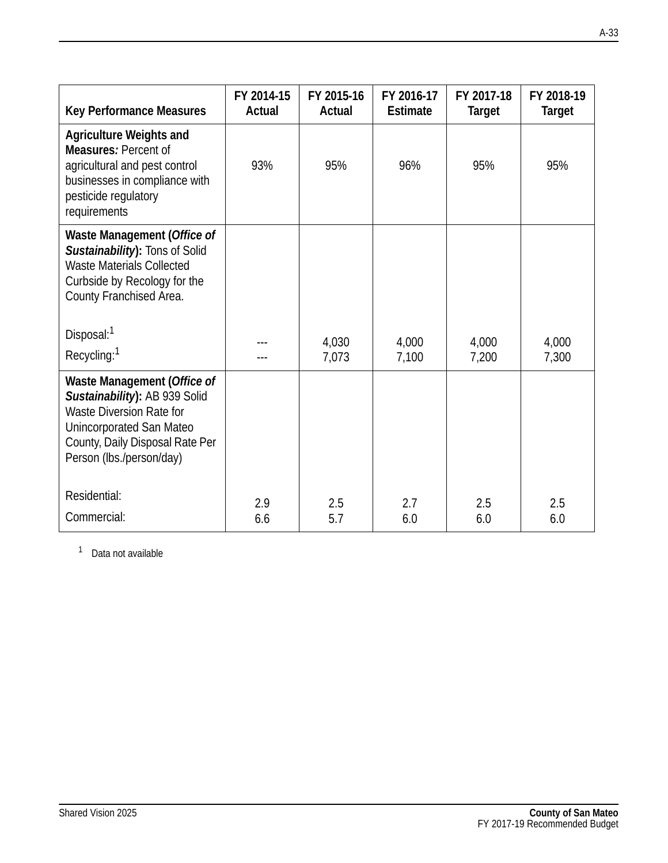| <b>Key Performance Measures</b>                                                                                                                                                     | FY 2014-15 | FY 2015-16 | FY 2016-17      | FY 2017-18    | FY 2018-19    |
|-------------------------------------------------------------------------------------------------------------------------------------------------------------------------------------|------------|------------|-----------------|---------------|---------------|
|                                                                                                                                                                                     | Actual     | Actual     | <b>Estimate</b> | <b>Target</b> | <b>Target</b> |
| <b>Agriculture Weights and</b><br>Measures: Percent of<br>agricultural and pest control<br>businesses in compliance with<br>pesticide regulatory<br>requirements                    | 93%        | 95%        | 96%             | 95%           | 95%           |
| Waste Management (Office of<br>Sustainability): Tons of Solid<br><b>Waste Materials Collected</b><br>Curbside by Recology for the<br>County Franchised Area.                        |            |            |                 |               |               |
| Disposal: <sup>1</sup>                                                                                                                                                              | ---        | 4,030      | 4,000           | 4,000         | 4,000         |
| Recycling: <sup>1</sup>                                                                                                                                                             |            | 7,073      | 7,100           | 7,200         | 7,300         |
| Waste Management (Office of<br>Sustainability): AB 939 Solid<br>Waste Diversion Rate for<br>Unincorporated San Mateo<br>County, Daily Disposal Rate Per<br>Person (lbs./person/day) |            |            |                 |               |               |
| Residential:                                                                                                                                                                        | 2.9        | 2.5        | 2.7             | 2.5           | 2.5           |
| Commercial:                                                                                                                                                                         | 6.6        | 5.7        | 6.0             | 6.0           | 6.0           |

<sup>1</sup> Data not available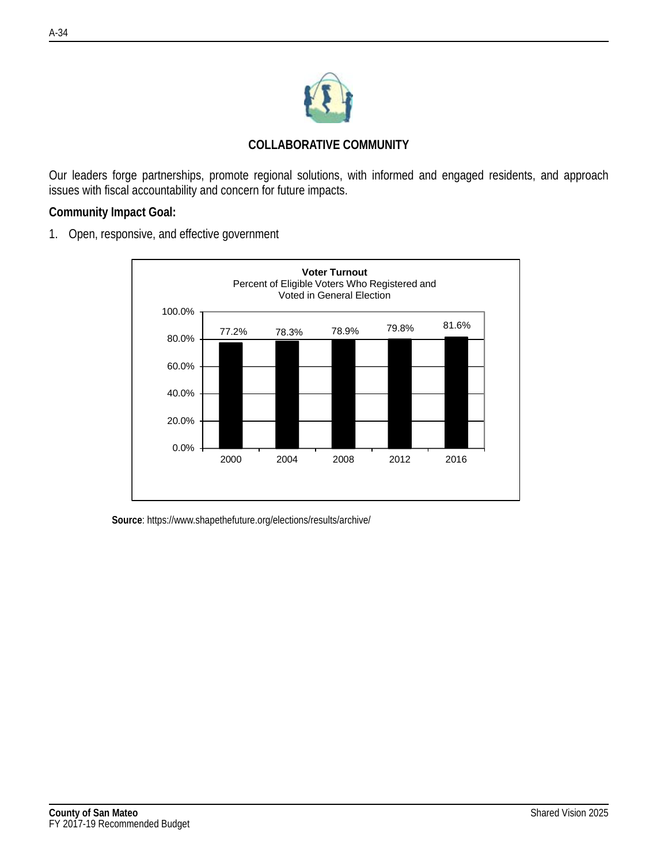

Our leaders forge partnerships, promote regional solutions, with informed and engaged residents, and approach issues with fiscal accountability and concern for future impacts.

#### **Community Impact Goal:**

1. Open, responsive, and effective government



**Source**: https://www.shapethefuture.org/elections/results/archive/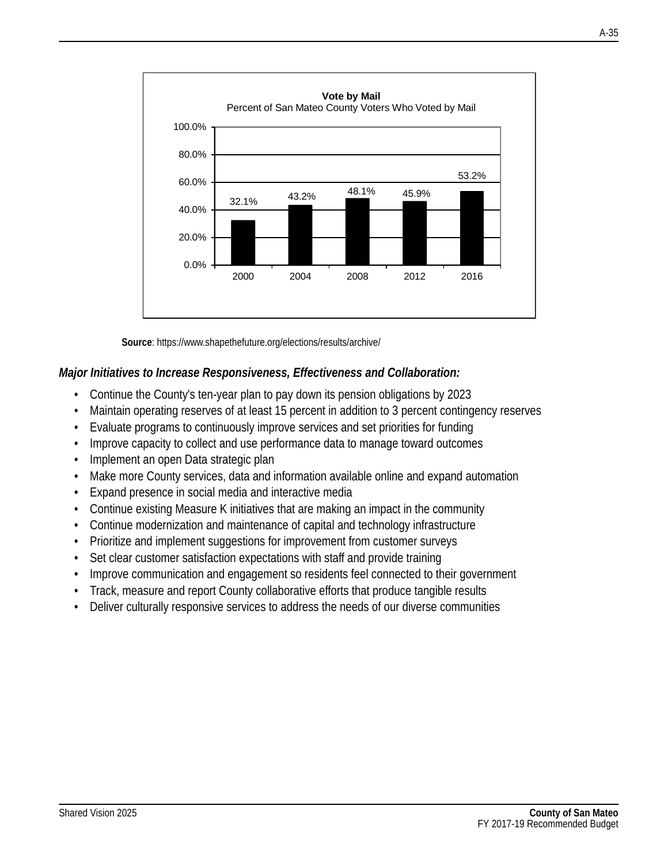

**Source**: https://www.shapethefuture.org/elections/results/archive/

#### *Major Initiatives to Increase Responsiveness, Effectiveness and Collaboration:*

- Continue the County's ten-year plan to pay down its pension obligations by 2023
- Maintain operating reserves of at least 15 percent in addition to 3 percent contingency reserves
- Evaluate programs to continuously improve services and set priorities for funding
- Improve capacity to collect and use performance data to manage toward outcomes
- Implement an open Data strategic plan
- Make more County services, data and information available online and expand automation
- Expand presence in social media and interactive media
- Continue existing Measure K initiatives that are making an impact in the community
- Continue modernization and maintenance of capital and technology infrastructure
- Prioritize and implement suggestions for improvement from customer surveys
- Set clear customer satisfaction expectations with staff and provide training
- Improve communication and engagement so residents feel connected to their government
- Track, measure and report County collaborative efforts that produce tangible results
- Deliver culturally responsive services to address the needs of our diverse communities